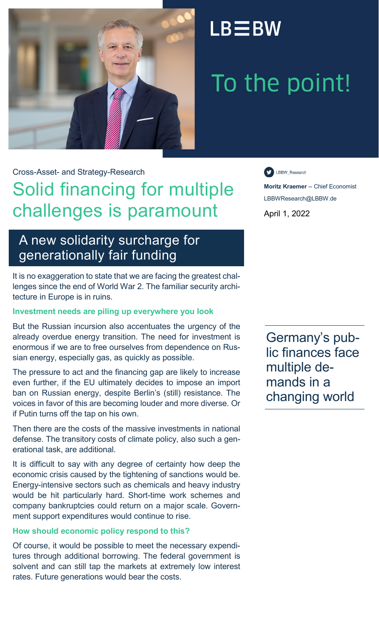

## $LB \equiv BW$

# To the point!

Cross-Asset- and Strategy-Research

### Solid financing for multiple challenges is paramount

### A new solidarity surcharge for generationally fair funding

It is no exaggeration to state that we are facing the greatest challenges since the end of World War 2. The familiar security architecture in Europe is in ruins.

#### **Investment needs are piling up everywhere you look**

But the Russian incursion also accentuates the urgency of the already overdue energy transition. The need for investment is enormous if we are to free ourselves from dependence on Russian energy, especially gas, as quickly as possible.

The pressure to act and the financing gap are likely to increase even further, if the EU ultimately decides to impose an import ban on Russian energy, despite Berlin's (still) resistance. The voices in favor of this are becoming louder and more diverse. Or if Putin turns off the tap on his own.

Then there are the costs of the massive investments in national defense. The transitory costs of climate policy, also such a generational task, are additional.

It is difficult to say with any degree of certainty how deep the economic crisis caused by the tightening of sanctions would be. Energy-intensive sectors such as chemicals and heavy industry would be hit particularly hard. Short-time work schemes and company bankruptcies could return on a major scale. Government support expenditures would continue to rise.

#### **How should economic policy respond to this?**

Of course, it would be possible to meet the necessary expenditures through additional borrowing. The federal government is solvent and can still tap the markets at extremely low interest rates. Future generations would bear the costs.

LBBW\_Research

**Moritz Kraemer** -- Chief Economist LBBWResearch@LBBW.de

April 1, 2022

Germany's public finances face multiple demands in a changing world